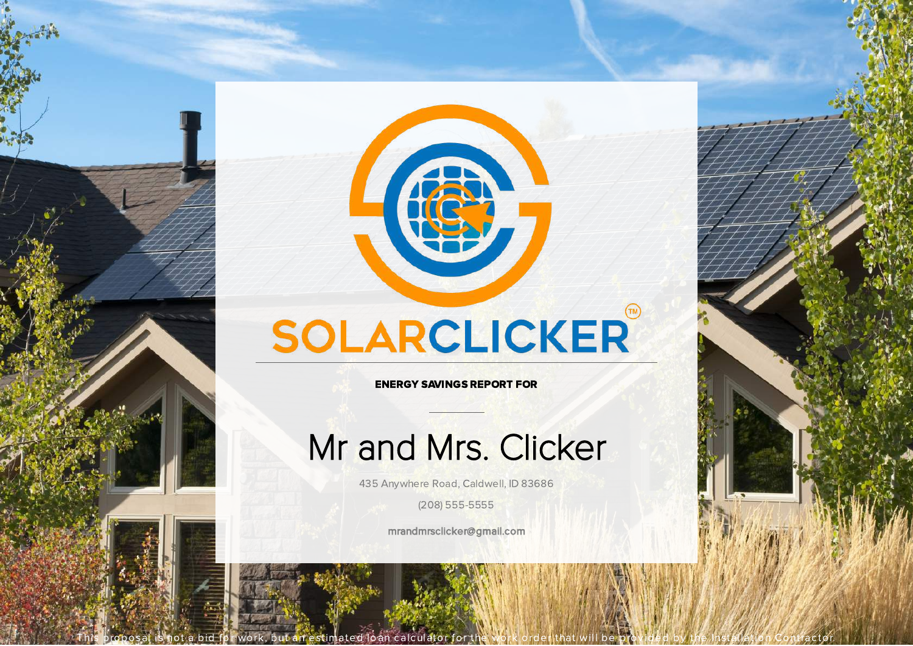

SOLARCLICKER

ENERGY SAVINGS REPORT FOR

# Mr and Mrs. Clicker

435 Anywhere Road, Caldwell, ID 83686

(208) 555-5555

mrandmrsclicker@gmail.com

This proposal is not a bid for work, but an estimated loan calculator for the work order that will be provided by the Installation Contractor.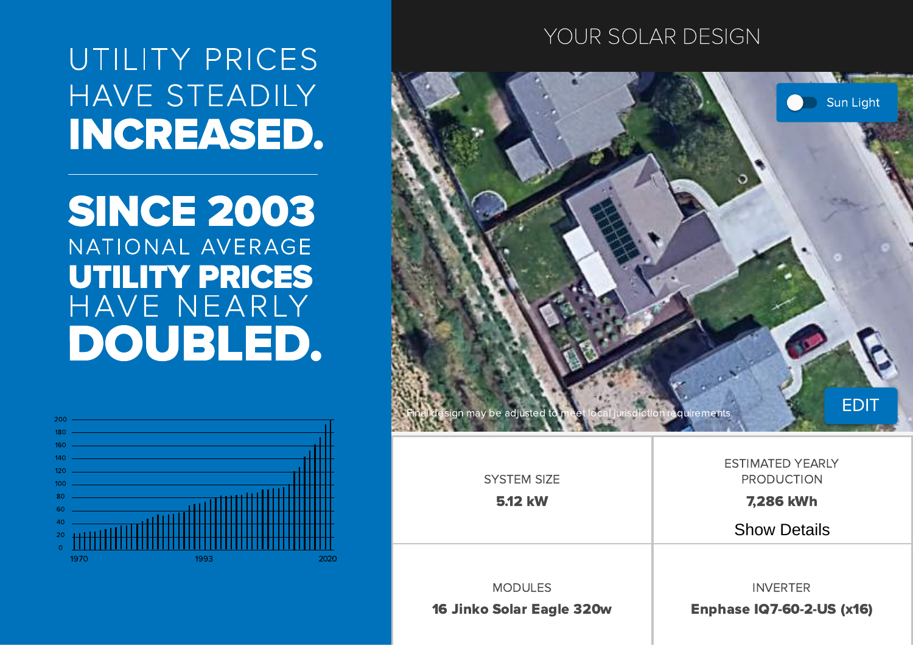UTILITY PRICES HAVE STEADILY **INCREASED.** 

# **SINCE 2003** NATIONAL AVERAGE **UTILITY PRICES** HAVE NEARLY DOUBLED.

## YOUR SOLAR DESIGN





| <b>SYSTEM SIZE</b>               | ESTIMATED YEARLY<br><b>PRODUCTION</b> |
|----------------------------------|---------------------------------------|
| <b>5.12 kW</b>                   | <b>7,286 kWh</b>                      |
|                                  | <b>Show Details</b>                   |
|                                  |                                       |
| <b>MODULES</b>                   | <b>INVERTER</b>                       |
| <b>16 Jinko Solar Eagle 320w</b> | <b>Enphase IQ7-60-2-US (x16)</b>      |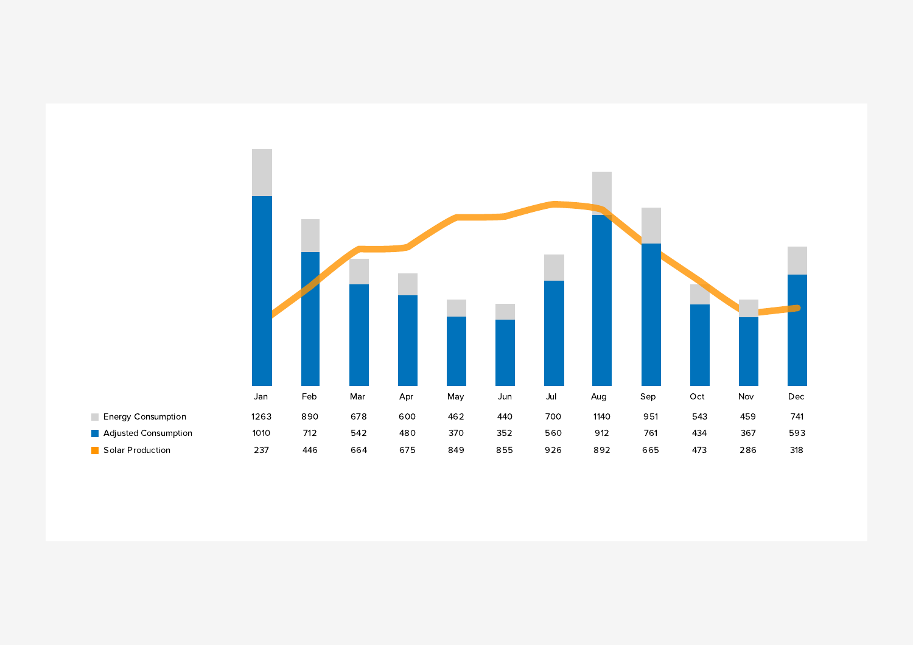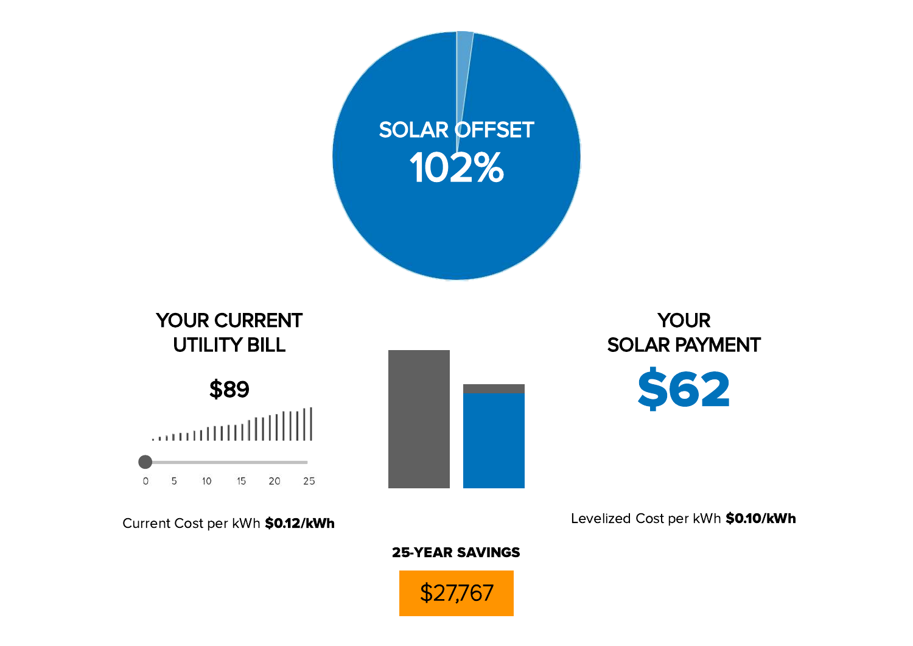

Levelized Cost per kWh \$0.10/kWh

### 25-YEAR SAVINGS

Current Cost per kWh \$0.12/kWh

\$27,767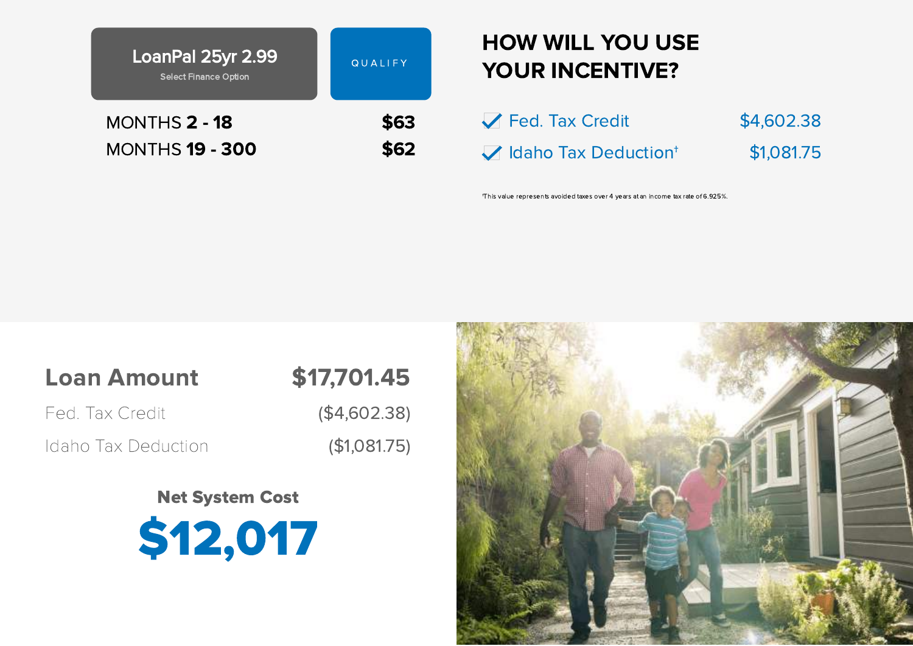| LoanPal 25yr 2.99<br><b>Select Finance Option</b> | QUALIFY |
|---------------------------------------------------|---------|
| MONTHS 2 - 18                                     | \$63    |
| <b>MONTHS 19 - 300</b>                            | \$62    |

## HOW WILL YOU USE YOUR INCENTIVE?

| Fed. Tax Credit                  | \$4,602.38 |
|----------------------------------|------------|
| Idaho Tax Deduction <sup>+</sup> | \$1,081.75 |

†This value represents avoided taxes over 4 years at an income tax rate of 6.925%.

## Loan Amount \$17,701.45

Fed. Tax Credit (\$4,602.38)

Idaho Tax Deduction (\$1,081.75)

Net System Cost \$12,017

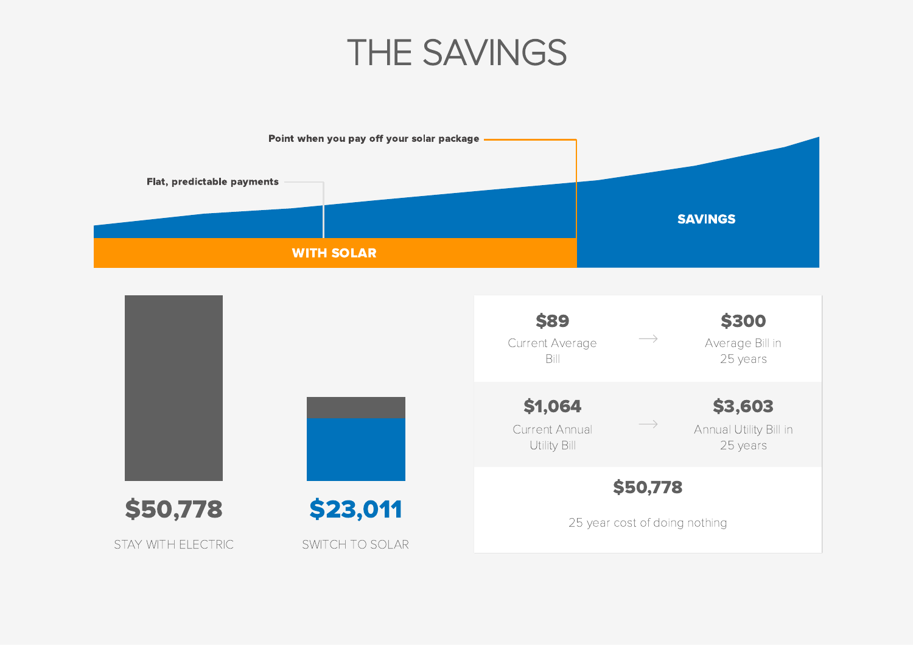



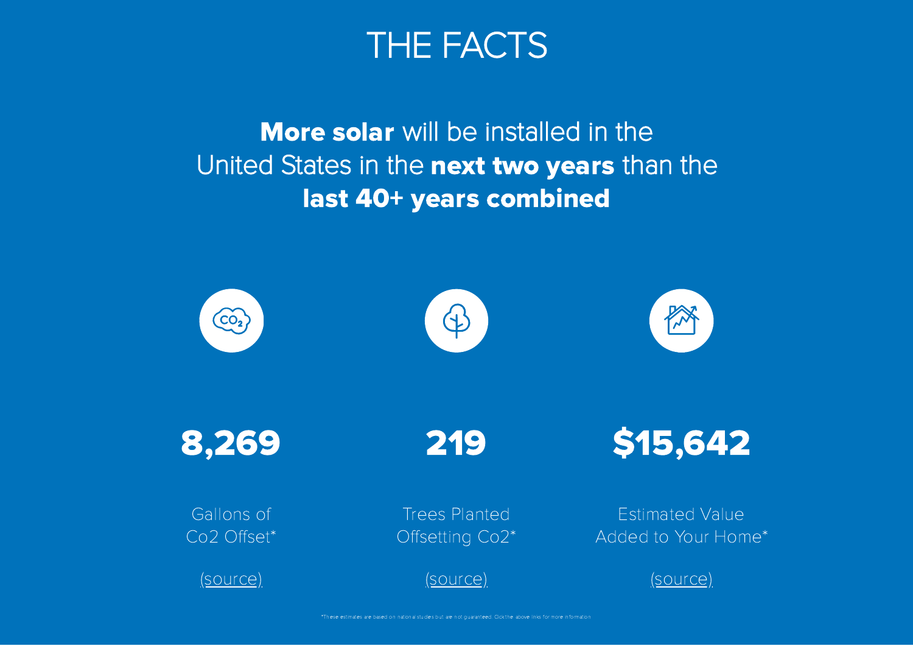

## More solar will be installed in the United States in the next two years than the last 40+ years combined

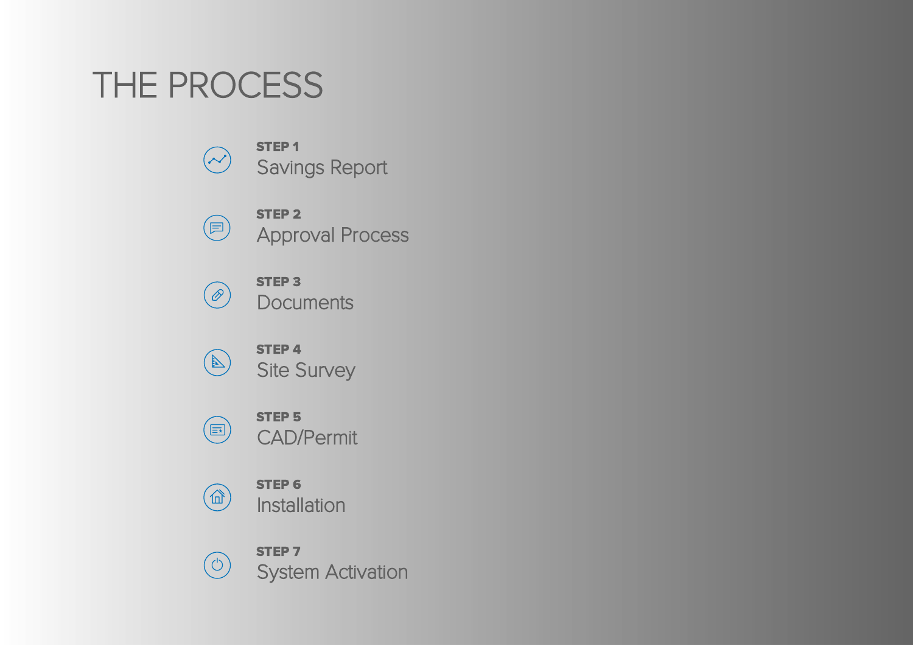# THE PROCESS